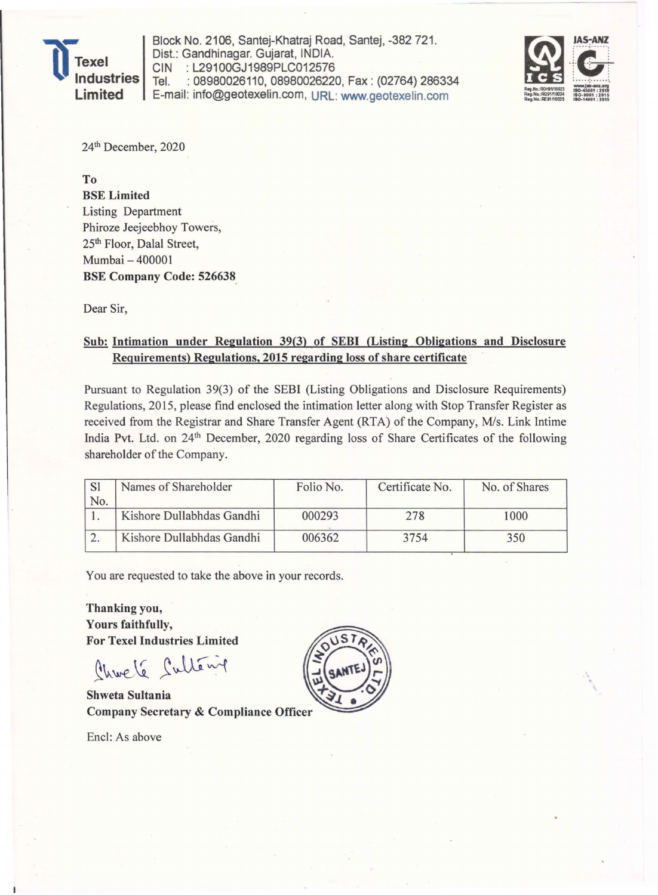

Block No. 2106, Santej-Khatraj Road, Santej, -382 721. Dist.: Gandhinagar. Gujarat, INDIA. CIN : L29100GJ1989PLC012576<br>Tel. : 08980026110. 0898002622 : 08980026110, 08980026220, Fax: (02764) 286334 E-mail: info@geotexelin.com, URL: www.geotexelin.com



24th December, 2020

To BSE Limited Listing Department Phiroze Jeejeebhoy Towers, 25th Floor, Dalal Street, Mumbai - 400001 BSE Company Code: 526638.

Dear Sir,

## Sub: Intimation under Regulation 39(3) of SEBI (Listing Obligations and Disclosure Requirements) Regulations, 2015 regarding loss of share certificate

Pursuant to Regulation 39(3) of the SEBI (Listing Obligations and Disclosure Requirements) Regulations, 2015, please find enclosed the intimation letter along with Stop Transfer Register as received from the Registrar and Share Transfer Agent (RTA) of the Company, *Mis.* Link Intime India Pvt. Ltd. on 24<sup>th</sup> December, 2020 regarding loss of Share Certificates of the following shareholder of the Company.

|     | Names of Shareholder      | Folio No. | Certificate No. | No. of Shares |  |  |
|-----|---------------------------|-----------|-----------------|---------------|--|--|
| No. | Kishore Dullabhdas Gandhi | 000293    | 278             | 1000          |  |  |
|     | Kishore Dullabhdas Gandhi | 006362    | 3754            | 350           |  |  |

You are requested to take the above in your records.

Thanking you, Yours faithfully, For Texel Industries Limited

Charle Cultery

Shweta Sultania **Company Secretary & Compliance Officer** 

Encl: As above

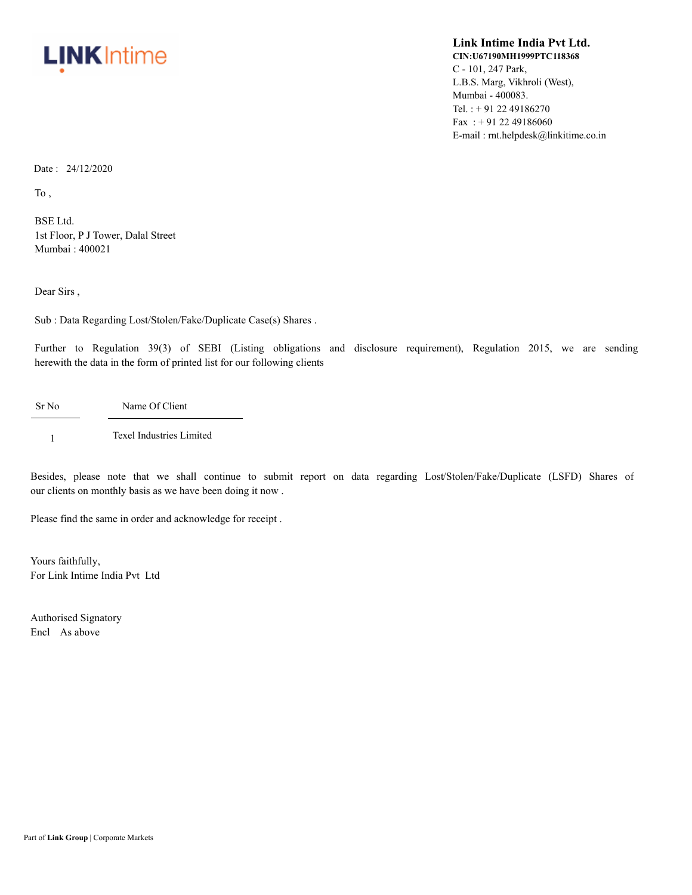

## **Link Intime India Pvt Ltd. CIN:U67190MH1999PTC118368** C - 101, 247 Park, L.B.S. Marg, Vikhroli (West), Mumbai - 400083. Tel. : + 91 22 49186270 Fax: +91 22 49186060 E-mail : rnt.helpdesk@linkitime.co.in

Date : 24/12/2020

To ,

BSE Ltd. 1st Floor, P J Tower, Dalal Street Mumbai : 400021

Dear Sirs ,

Sub : Data Regarding Lost/Stolen/Fake/Duplicate Case(s) Shares .

Further to Regulation 39(3) of SEBI (Listing obligations and disclosure requirement), Regulation 2015, we are sending herewith the data in the form of printed list for our following clients

Sr No Name Of Client

1 Texel Industries Limited

Besides, please note that we shall continue to submit report on data regarding Lost/Stolen/Fake/Duplicate (LSFD) Shares of our clients on monthly basis as we have been doing it now .

Please find the same in order and acknowledge for receipt .

Yours faithfully, For Link Intime India Pvt Ltd

Authorised Signatory Encl As above